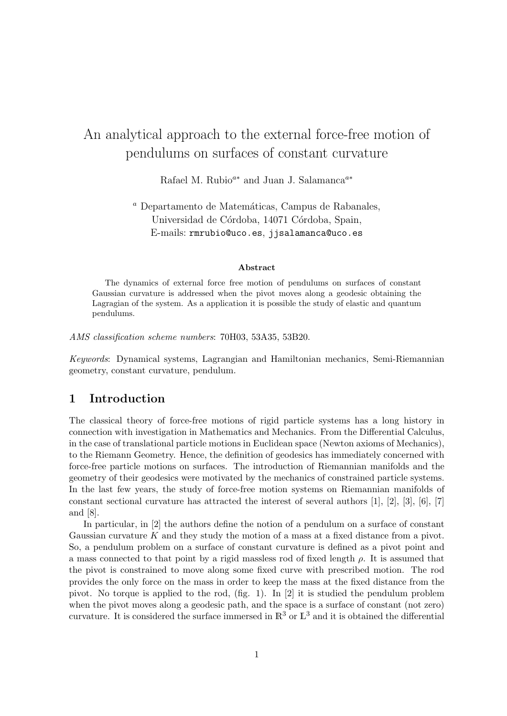# An analytical approach to the external force-free motion of pendulums on surfaces of constant curvature

Rafael M. Rubio*<sup>a</sup><sup>∗</sup>* and Juan J. Salamanca*<sup>a</sup><sup>∗</sup>*

<sup>a</sup> Departamento de Matemáticas, Campus de Rabanales, Universidad de Córdoba, 14071 Córdoba, Spain, E-mails: rmrubio@uco.es, jjsalamanca@uco.es

#### **Abstract**

The dynamics of external force free motion of pendulums on surfaces of constant Gaussian curvature is addressed when the pivot moves along a geodesic obtaining the Lagragian of the system. As a application it is possible the study of elastic and quantum pendulums.

*AMS classification scheme numbers*: 70H03, 53A35, 53B20.

*Keywords*: Dynamical systems, Lagrangian and Hamiltonian mechanics, Semi-Riemannian geometry, constant curvature, pendulum.

### **1 Introduction**

The classical theory of force-free motions of rigid particle systems has a long history in connection with investigation in Mathematics and Mechanics. From the Differential Calculus, in the case of translational particle motions in Euclidean space (Newton axioms of Mechanics), to the Riemann Geometry. Hence, the definition of geodesics has immediately concerned with force-free particle motions on surfaces. The introduction of Riemannian manifolds and the geometry of their geodesics were motivated by the mechanics of constrained particle systems. In the last few years, the study of force-free motion systems on Riemannian manifolds of constant sectional curvature has attracted the interest of several authors  $[1], [2], [3], [6], [7]$ and [8].

In particular, in [2] the authors define the notion of a pendulum on a surface of constant Gaussian curvature *K* and they study the motion of a mass at a fixed distance from a pivot. So, a pendulum problem on a surface of constant curvature is defined as a pivot point and a mass connected to that point by a rigid massless rod of fixed length *ρ*. It is assumed that the pivot is constrained to move along some fixed curve with prescribed motion. The rod provides the only force on the mass in order to keep the mass at the fixed distance from the pivot. No torque is applied to the rod, (fig. 1). In [2] it is studied the pendulum problem when the pivot moves along a geodesic path, and the space is a surface of constant (not zero) curvature. It is considered the surface immersed in  $\mathbb{R}^3$  or  $\mathbb{L}^3$  and it is obtained the differential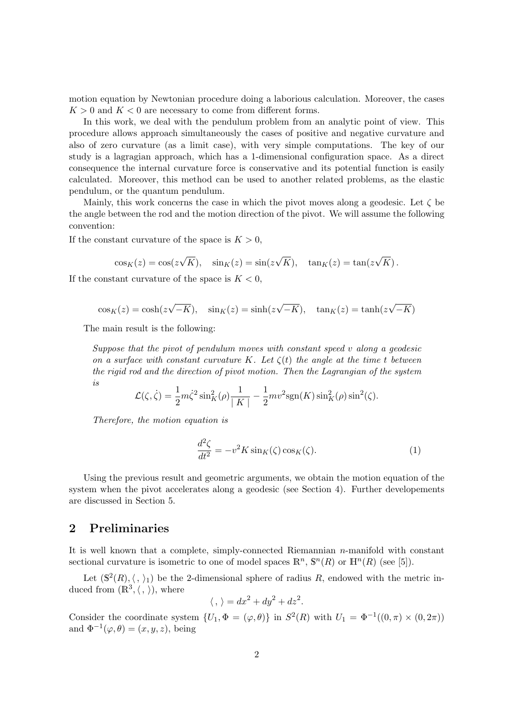motion equation by Newtonian procedure doing a laborious calculation. Moreover, the cases  $K > 0$  and  $K < 0$  are necessary to come from different forms.

In this work, we deal with the pendulum problem from an analytic point of view. This procedure allows approach simultaneously the cases of positive and negative curvature and also of zero curvature (as a limit case), with very simple computations. The key of our study is a lagragian approach, which has a 1-dimensional configuration space. As a direct consequence the internal curvature force is conservative and its potential function is easily calculated. Moreover, this method can be used to another related problems, as the elastic pendulum, or the quantum pendulum.

Mainly, this work concerns the case in which the pivot moves along a geodesic. Let *ζ* be the angle between the rod and the motion direction of the pivot. We will assume the following convention:

If the constant curvature of the space is  $K > 0$ ,

$$
\cos_K(z) = \cos(z\sqrt{K}), \quad \sin_K(z) = \sin(z\sqrt{K}), \quad \tan_K(z) = \tan(z\sqrt{K}).
$$

If the constant curvature of the space is  $K < 0$ ,

$$
\cos_K(z) = \cosh(z\sqrt{-K}), \quad \sin_K(z) = \sinh(z\sqrt{-K}), \quad \tan_K(z) = \tanh(z\sqrt{-K})
$$

The main result is the following:

*Suppose that the pivot of pendulum moves with constant speed v along a geodesic on a surface with constant curvature K. Let ζ*(*t*) *the angle at the time t between the rigid rod and the direction of pivot motion. Then the Lagrangian of the system is*

$$
\mathcal{L}(\zeta, \dot{\zeta}) = \frac{1}{2} m \dot{\zeta}^2 \sin^2(K) \frac{1}{|K|} - \frac{1}{2} m v^2 \text{sgn}(K) \sin^2(K) \sin^2(\zeta).
$$

*Therefore, the motion equation is*

$$
\frac{d^2\zeta}{dt^2} = -v^2 K \sin_K(\zeta) \cos_K(\zeta). \tag{1}
$$

Using the previous result and geometric arguments, we obtain the motion equation of the system when the pivot accelerates along a geodesic (see Section 4). Further developements are discussed in Section 5.

# **2 Preliminaries**

It is well known that a complete, simply-connected Riemannian *n*-manifold with constant sectional curvature is isometric to one of model spaces  $\mathbb{R}^n$ ,  $\mathbb{S}^n(R)$  or  $\mathbb{H}^n(R)$  (see [5]).

Let  $(\mathbb{S}^2(R), \langle , \rangle_1)$  be the 2-dimensional sphere of radius R, endowed with the metric induced from  $(\mathbb{R}^3, \langle , \rangle)$ , where

$$
\langle , \rangle = dx^2 + dy^2 + dz^2.
$$

Consider the coordinate system  $\{U_1, \Phi = (\varphi, \theta)\}\$ in  $S^2(R)$  with  $U_1 = \Phi^{-1}((0, \pi) \times (0, 2\pi))$ and  $\Phi^{-1}(\varphi,\theta)=(x,y,z)$ , being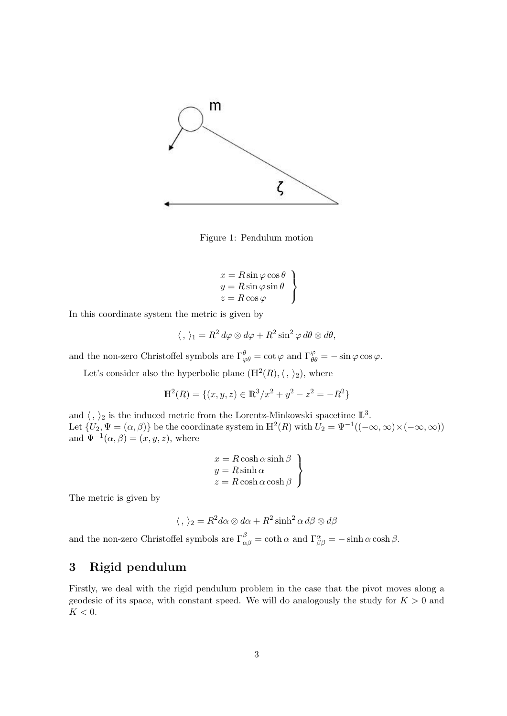

Figure 1: Pendulum motion

$$
x = R \sin \varphi \cos \theta
$$
  
y = R \sin \varphi \sin \theta  
z = R \cos \varphi

In this coordinate system the metric is given by

$$
\langle , \rangle_1 = R^2 d\varphi \otimes d\varphi + R^2 \sin^2 \varphi d\theta \otimes d\theta,
$$

and the non-zero Christoffel symbols are  $\Gamma^{\theta}_{\varphi\theta} = \cot \varphi$  and  $\Gamma^{\varphi}_{\theta\theta} = -\sin \varphi \cos \varphi$ .

Let's consider also the hyperbolic plane  $(\mathbb{H}^2(R), \langle , \rangle_2)$ , where

$$
\mathbb{H}^2(R) = \{(x, y, z) \in \mathbb{R}^3 / x^2 + y^2 - z^2 = -R^2\}
$$

and  $\langle , \rangle_2$  is the induced metric from the Lorentz-Minkowski spacetime  $\mathbb{L}^3$ . Let  $\{U_2, \Psi = (\alpha, \beta)\}\$  be the coordinate system in  $\mathbb{H}^2(R)$  with  $U_2 = \Psi^{-1}((-\infty, \infty) \times (-\infty, \infty))$ and  $\Psi^{-1}(\alpha, \beta) = (x, y, z)$ , where

$$
x = R \cosh \alpha \sinh \beta
$$
  
y = R \sinh \alpha  
z = R \cosh \alpha \cosh \beta

The metric is given by

$$
\langle , \rangle_2 = R^2 d\alpha \otimes d\alpha + R^2 \sinh^2 \alpha d\beta \otimes d\beta
$$

and the non-zero Christoffel symbols are  $\Gamma^{\beta}_{\alpha\beta} = \coth \alpha$  and  $\Gamma^{\alpha}_{\beta\beta} = -\sinh \alpha \cosh \beta$ .

# **3 Rigid pendulum**

Firstly, we deal with the rigid pendulum problem in the case that the pivot moves along a geodesic of its space, with constant speed. We will do analogously the study for  $K > 0$  and  $K<0$ .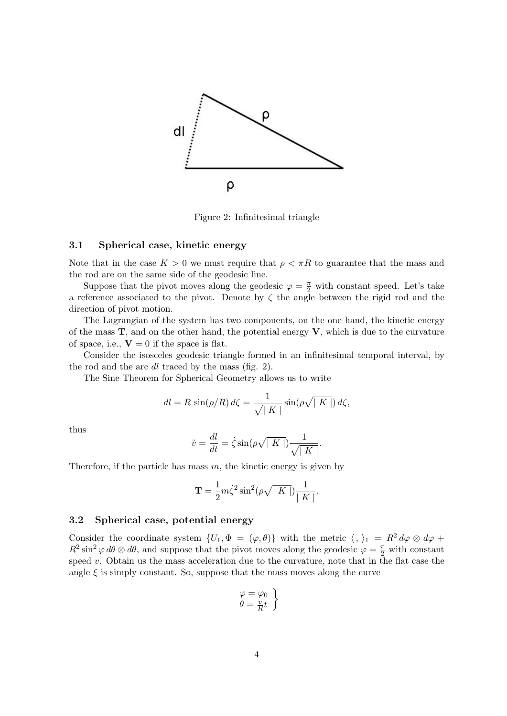

Figure 2: Infinitesimal triangle

#### **3.1 Spherical case, kinetic energy**

Note that in the case  $K > 0$  we must require that  $\rho < \pi R$  to guarantee that the mass and the rod are on the same side of the geodesic line.

Suppose that the pivot moves along the geodesic  $\varphi = \frac{\pi}{2}$  with constant speed. Let's take a reference associated to the pivot. Denote by  $\zeta$  the angle between the rigid rod and the direction of pivot motion.

The Lagrangian of the system has two components, on the one hand, the kinetic energy of the mass **T**, and on the other hand, the potential energy **V**, which is due to the curvature of space, i.e.,  $V = 0$  if the space is flat.

Consider the isosceles geodesic triangle formed in an infinitesimal temporal interval, by the rod and the arc *dl* traced by the mass (fig. 2).

The Sine Theorem for Spherical Geometry allows us to write

$$
dl = R \sin(\rho/R) d\zeta = \frac{1}{\sqrt{|K|}} \sin(\rho\sqrt{|K|}) d\zeta,
$$

thus

$$
\tilde{v} = \frac{dl}{dt} = \dot{\zeta} \sin(\rho \sqrt{|K|}) \frac{1}{\sqrt{|K|}}.
$$

Therefore, if the particle has mass *m*, the kinetic energy is given by

$$
\mathbf{T} = \frac{1}{2}m\dot{\zeta}^2\sin^2(\rho\sqrt{|K|})\frac{1}{|K|}.
$$

#### **3.2 Spherical case, potential energy**

Consider the coordinate system  $\{U_1, \Phi = (\varphi, \theta)\}\$  with the metric  $\langle , \rangle_1 = R^2 d\varphi \otimes d\varphi +$  $R^2 \sin^2 \varphi \, d\theta \otimes d\theta$ , and suppose that the pivot moves along the geodesic  $\varphi = \frac{\pi}{2}$  with constant speed *v*. Obtain us the mass acceleration due to the curvature, note that in the flat case the angle  $\xi$  is simply constant. So, suppose that the mass moves along the curve

$$
\left. \begin{array}{c} \varphi = \varphi_0 \\ \theta = \frac{v}{R} t \end{array} \right\}
$$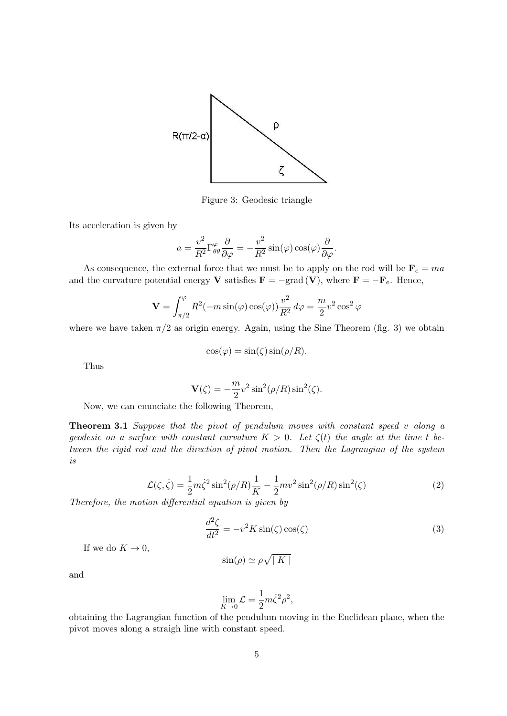

Figure 3: Geodesic triangle

Its acceleration is given by

$$
a = \frac{v^2}{R^2} \Gamma^{\varphi}_{\theta\theta} \frac{\partial}{\partial \varphi} = -\frac{v^2}{R^2} \sin(\varphi) \cos(\varphi) \frac{\partial}{\partial \varphi}.
$$

As consequence, the external force that we must be to apply on the rod will be  $\mathbf{F}_e = ma$ and the curvature potential energy **V** satisfies  $\mathbf{F} = -\text{grad}(\mathbf{V})$ , where  $\mathbf{F} = -\mathbf{F}_e$ . Hence,

$$
\mathbf{V} = \int_{\pi/2}^{\varphi} R^2(-m\sin(\varphi)\cos(\varphi)) \frac{v^2}{R^2} d\varphi = \frac{m}{2}v^2\cos^2\varphi
$$

where we have taken  $\pi/2$  as origin energy. Again, using the Sine Theorem (fig. 3) we obtain

$$
\cos(\varphi) = \sin(\zeta)\sin(\rho/R).
$$

Thus

$$
\mathbf{V}(\zeta) = -\frac{m}{2}v^2 \sin^2(\rho/R) \sin^2(\zeta).
$$

Now, we can enunciate the following Theorem,

**Theorem 3.1** *Suppose that the pivot of pendulum moves with constant speed v along a geodesic on a surface with constant curvature*  $K > 0$ . Let  $\zeta(t)$  the angle at the time t be*tween the rigid rod and the direction of pivot motion. Then the Lagrangian of the system is*

$$
\mathcal{L}(\zeta, \dot{\zeta}) = \frac{1}{2} m \dot{\zeta}^2 \sin^2(\rho/R) \frac{1}{K} - \frac{1}{2} m v^2 \sin^2(\rho/R) \sin^2(\zeta)
$$
 (2)

*Therefore, the motion differential equation is given by*

$$
\frac{d^2\zeta}{dt^2} = -v^2 K \sin(\zeta) \cos(\zeta) \tag{3}
$$

If we do  $K \to 0$ ,

$$
\sin(\rho) \simeq \rho \sqrt{|K|}
$$

and

$$
\lim_{K \to 0} \mathcal{L} = \frac{1}{2} m \dot{\zeta}^2 \rho^2,
$$

obtaining the Lagrangian function of the pendulum moving in the Euclidean plane, when the pivot moves along a straigh line with constant speed.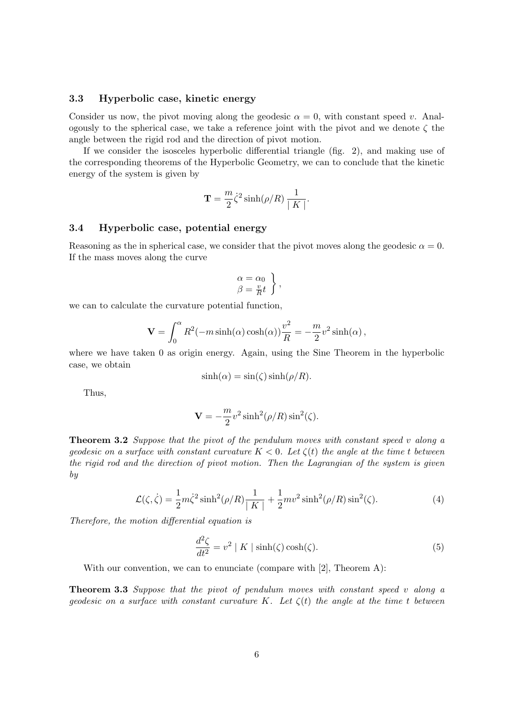#### **3.3 Hyperbolic case, kinetic energy**

Consider us now, the pivot moving along the geodesic  $\alpha = 0$ , with constant speed *v*. Analogously to the spherical case, we take a reference joint with the pivot and we denote *ζ* the angle between the rigid rod and the direction of pivot motion.

If we consider the isosceles hyperbolic differential triangle (fig. 2), and making use of the corresponding theorems of the Hyperbolic Geometry, we can to conclude that the kinetic energy of the system is given by

$$
\mathbf{T} = \frac{m}{2}\dot{\zeta}^2 \sinh(\rho/R) \frac{1}{|K|}.
$$

#### **3.4 Hyperbolic case, potential energy**

Reasoning as the in spherical case, we consider that the pivot moves along the geodesic  $\alpha = 0$ . If the mass moves along the curve

$$
\left.\begin{array}{c}\alpha=\alpha_0\\\beta=\frac{v}{R}t\end{array}\right\},
$$

we can to calculate the curvature potential function,

$$
\mathbf{V} = \int_0^\alpha R^2(-m\sinh(\alpha)\cosh(\alpha))\frac{v^2}{R} = -\frac{m}{2}v^2\sinh(\alpha)\,,
$$

where we have taken 0 as origin energy. Again, using the Sine Theorem in the hyperbolic case, we obtain

$$
\sinh(\alpha) = \sin(\zeta)\sinh(\rho/R).
$$

Thus,

$$
\mathbf{V} = -\frac{m}{2}v^2 \sinh^2(\rho/R)\sin^2(\zeta).
$$

**Theorem 3.2** *Suppose that the pivot of the pendulum moves with constant speed v along a geodesic on a surface with constant curvature*  $K < 0$ . Let  $\zeta(t)$  the angle at the time t between *the rigid rod and the direction of pivot motion. Then the Lagrangian of the system is given by*

$$
\mathcal{L}(\zeta, \dot{\zeta}) = \frac{1}{2} m \dot{\zeta}^2 \sinh^2(\rho/R) \frac{1}{|K|} + \frac{1}{2} m v^2 \sinh^2(\rho/R) \sin^2(\zeta).
$$
 (4)

*Therefore, the motion differential equation is*

$$
\frac{d^2\zeta}{dt^2} = v^2 |K| \sinh(\zeta) \cosh(\zeta). \tag{5}
$$

With our convention, we can to enunciate (compare with [2], Theorem A):

**Theorem 3.3** *Suppose that the pivot of pendulum moves with constant speed v along a geodesic on a surface with constant curvature K. Let ζ*(*t*) *the angle at the time t between*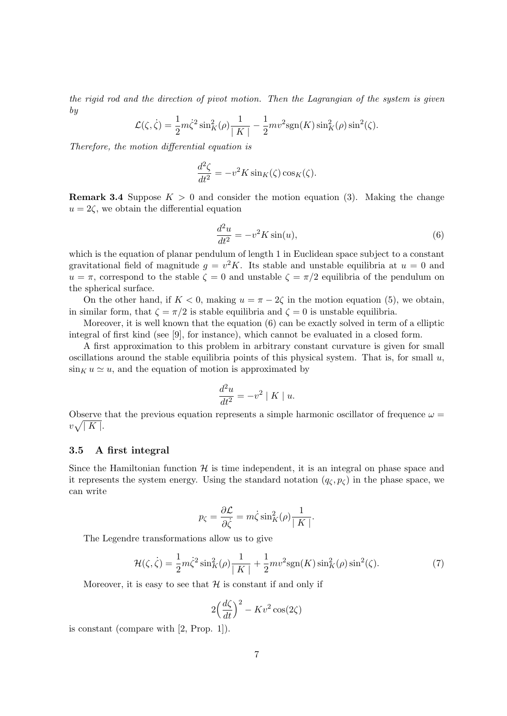*the rigid rod and the direction of pivot motion. Then the Lagrangian of the system is given by*

$$
\mathcal{L}(\zeta, \dot{\zeta}) = \frac{1}{2} m \dot{\zeta}^2 \sin^2(K) \frac{1}{|K|} - \frac{1}{2} m v^2 \text{sgn}(K) \sin^2(K) \sin^2(\zeta).
$$

*Therefore, the motion differential equation is*

$$
\frac{d^2\zeta}{dt^2} = -v^2 K \sin_K(\zeta) \cos_K(\zeta).
$$

**Remark 3.4** Suppose  $K > 0$  and consider the motion equation (3). Making the change  $u = 2\zeta$ , we obtain the differential equation

$$
\frac{d^2u}{dt^2} = -v^2K\sin(u),\tag{6}
$$

which is the equation of planar pendulum of length 1 in Euclidean space subject to a constant gravitational field of magnitude  $g = v^2 K$ . Its stable and unstable equilibria at  $u = 0$  and  $u = \pi$ , correspond to the stable  $\zeta = 0$  and unstable  $\zeta = \pi/2$  equilibria of the pendulum on the spherical surface.

On the other hand, if  $K < 0$ , making  $u = \pi - 2\zeta$  in the motion equation (5), we obtain, in similar form, that  $\zeta = \pi/2$  is stable equilibria and  $\zeta = 0$  is unstable equilibria.

Moreover, it is well known that the equation (6) can be exactly solved in term of a elliptic integral of first kind (see [9], for instance), which cannot be evaluated in a closed form.

A first approximation to this problem in arbitrary constant curvature is given for small oscillations around the stable equilibria points of this physical system. That is, for small *u*,  $\sin K u \simeq u$ , and the equation of motion is approximated by

$$
\frac{d^2u}{dt^2} = -v^2 \mid K \mid u.
$$

Observe that the previous equation represents a simple harmonic oscillator of frequence  $\omega =$  $v\sqrt{|K|}$ .

#### **3.5 A first integral**

Since the Hamiltonian function  $H$  is time independent, it is an integral on phase space and it represents the system energy. Using the standard notation  $(q_{\zeta}, p_{\zeta})$  in the phase space, we can write

$$
p_{\zeta} = \frac{\partial \mathcal{L}}{\partial \dot{\zeta}} = m \dot{\zeta} \sin^2_K(\rho) \frac{1}{|K|}.
$$

The Legendre transformations allow us to give

$$
\mathcal{H}(\zeta, \dot{\zeta}) = \frac{1}{2} m \dot{\zeta}^2 \sin^2(K) \frac{1}{|K|} + \frac{1}{2} m v^2 \text{sgn}(K) \sin^2(K) \sin^2(\zeta).
$$
 (7)

Moreover, it is easy to see that  $H$  is constant if and only if

$$
2\left(\frac{d\zeta}{dt}\right)^2 - Kv^2\cos(2\zeta)
$$

is constant (compare with [2, Prop. 1]).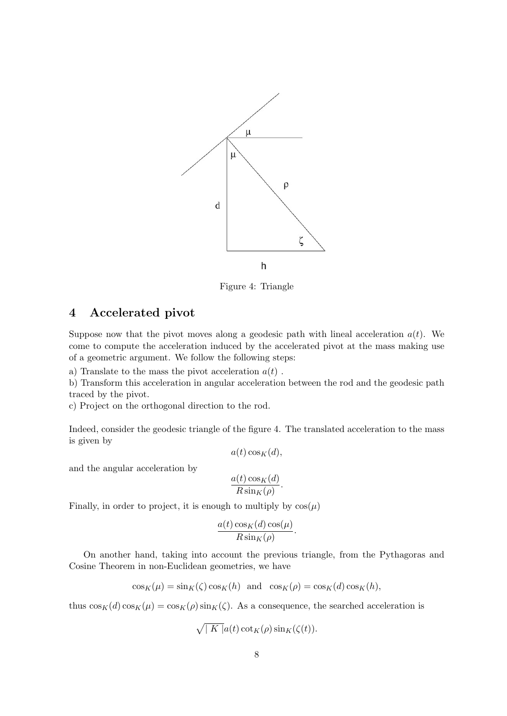

Figure 4: Triangle

# **4 Accelerated pivot**

Suppose now that the pivot moves along a geodesic path with lineal acceleration  $a(t)$ . We come to compute the acceleration induced by the accelerated pivot at the mass making use of a geometric argument. We follow the following steps:

a) Translate to the mass the pivot acceleration  $a(t)$ .

b) Transform this acceleration in angular acceleration between the rod and the geodesic path traced by the pivot.

c) Project on the orthogonal direction to the rod.

Indeed, consider the geodesic triangle of the figure 4. The translated acceleration to the mass is given by

$$
a(t)\cos_K(d),
$$

and the angular acceleration by

$$
\frac{a(t)\cos_K(d)}{R\sin_K(\rho)}.
$$

Finally, in order to project, it is enough to multiply by  $cos(\mu)$ 

$$
\frac{a(t)\cos_K(d)\cos(\mu)}{R\sin_K(\rho)}.
$$

On another hand, taking into account the previous triangle, from the Pythagoras and Cosine Theorem in non-Euclidean geometries, we have

$$
\cos_K(\mu) = \sin_K(\zeta) \cos_K(h) \text{ and } \cos_K(\rho) = \cos_K(d) \cos_K(h),
$$

thus  $\cos_K(d) \cos_K(\mu) = \cos_K(\rho) \sin_K(\zeta)$ . As a consequence, the searched acceleration is

$$
\sqrt{|K|}a(t)\cot_K(\rho)\sin_K(\zeta(t)).
$$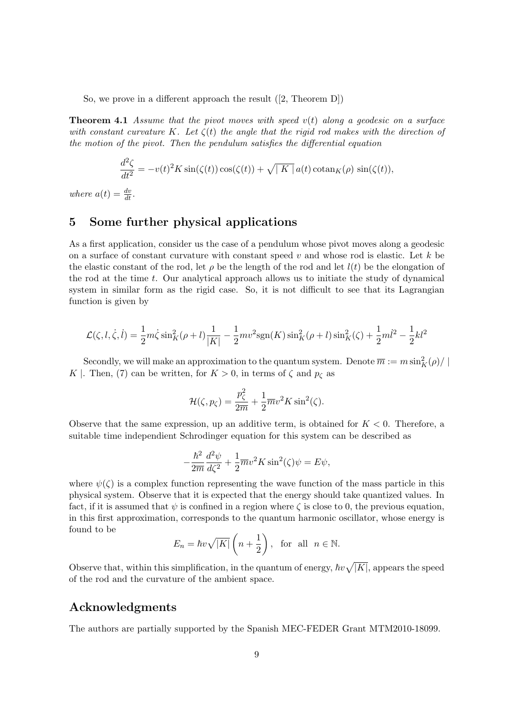So, we prove in a different approach the result ([2, Theorem D])

**Theorem 4.1** *Assume that the pivot moves with speed v*(*t*) *along a geodesic on a surface with constant curvature*  $K$ *. Let*  $\zeta(t)$  *the angle that the rigid rod makes with the direction of the motion of the pivot. Then the pendulum satisfies the differential equation*

$$
\frac{d^2\zeta}{dt^2} = -v(t)^2 K \sin(\zeta(t)) \cos(\zeta(t)) + \sqrt{|K|} a(t) \cot \frac{\zeta(t)}{t}, \sin(\zeta(t)),
$$

*where*  $a(t) = \frac{dv}{dt}$ .

# **5 Some further physical applications**

As a first application, consider us the case of a pendulum whose pivot moves along a geodesic on a surface of constant curvature with constant speed *v* and whose rod is elastic. Let *k* be the elastic constant of the rod, let  $\rho$  be the length of the rod and let  $l(t)$  be the elongation of the rod at the time *t*. Our analytical approach allows us to initiate the study of dynamical system in similar form as the rigid case. So, it is not difficult to see that its Lagrangian function is given by

$$
\mathcal{L}(\zeta, l, \dot{\zeta}, \dot{l}) = \frac{1}{2}m\dot{\zeta}\sin^2_K(\rho + l)\frac{1}{|K|} - \frac{1}{2}mv^2\text{sgn}(K)\sin^2_K(\rho + l)\sin^2_K(\zeta) + \frac{1}{2}ml^2 - \frac{1}{2}kl^2
$$

Secondly, we will make an approximation to the quantum system. Denote  $\overline{m} := m \sin^2_K(\rho) / |\overline{m}|$ *K |*. Then, (7) can be written, for  $K > 0$ , in terms of  $\zeta$  and  $p_{\zeta}$  as

$$
\mathcal{H}(\zeta, p_{\zeta}) = \frac{p_{\zeta}^2}{2\overline{m}} + \frac{1}{2}\overline{m}v^2K\sin^2(\zeta).
$$

Observe that the same expression, up an additive term, is obtained for *K <* 0. Therefore, a suitable time independient Schrodinger equation for this system can be described as

$$
-\frac{\hbar^2}{2\overline{m}}\frac{d^2\psi}{d\zeta^2} + \frac{1}{2}\overline{m}v^2K\sin^2(\zeta)\psi = E\psi,
$$

where  $\psi(\zeta)$  is a complex function representing the wave function of the mass particle in this physical system. Observe that it is expected that the energy should take quantized values. In fact, if it is assumed that  $\psi$  is confined in a region where  $\zeta$  is close to 0, the previous equation, in this first approximation, corresponds to the quantum harmonic oscillator, whose energy is found to be

$$
E_n = \hbar v \sqrt{|K|} \left( n + \frac{1}{2} \right), \text{ for all } n \in \mathbb{N}.
$$

Observe that, within this simplification, in the quantum of energy,  $\hbar v\sqrt{|K|}$ , appears the speed of the rod and the curvature of the ambient space.

## **Acknowledgments**

The authors are partially supported by the Spanish MEC-FEDER Grant MTM2010-18099.